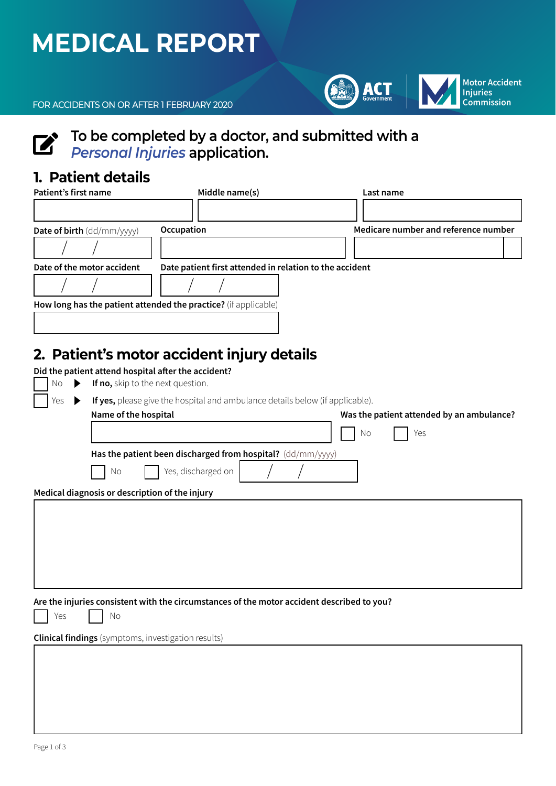## **MEDICAL REPORT**



FOR ACCIDENTS ON OR AFTER 1 FEBRUARY 2020

# **To be completed by a doctor, and submitted with a** *Personal Injuries* application.

## **1. Patient details**

| Patient's first name              | Middle name(s)                                                  | Last name                            |
|-----------------------------------|-----------------------------------------------------------------|--------------------------------------|
|                                   |                                                                 |                                      |
| <b>Date of birth</b> (dd/mm/yyyy) | Occupation                                                      | Medicare number and reference number |
|                                   |                                                                 |                                      |
| Date of the motor accident        | Date patient first attended in relation to the accident         |                                      |
|                                   |                                                                 |                                      |
|                                   | How long has the patient attended the practice? (if applicable) |                                      |
|                                   |                                                                 |                                      |

## **2. Patient's motor accident injury details**

| Did the patient attend hospital after the accident?<br>If no, skip to the next question. |                                                                                                                    |
|------------------------------------------------------------------------------------------|--------------------------------------------------------------------------------------------------------------------|
| If yes, please give the hospital and ambulance details below (if applicable).<br>▶       |                                                                                                                    |
|                                                                                          | Was the patient attended by an ambulance?<br>No<br>Yes                                                             |
| Has the patient been discharged from hospital? (dd/mm/yyyy)                              |                                                                                                                    |
| Yes, discharged on<br>No                                                                 |                                                                                                                    |
| Medical diagnosis or description of the injury                                           |                                                                                                                    |
|                                                                                          |                                                                                                                    |
|                                                                                          |                                                                                                                    |
|                                                                                          |                                                                                                                    |
|                                                                                          |                                                                                                                    |
|                                                                                          |                                                                                                                    |
| No                                                                                       |                                                                                                                    |
| <b>Clinical findings</b> (symptoms, investigation results)                               |                                                                                                                    |
|                                                                                          |                                                                                                                    |
|                                                                                          |                                                                                                                    |
|                                                                                          |                                                                                                                    |
|                                                                                          |                                                                                                                    |
|                                                                                          | Name of the hospital<br>Are the injuries consistent with the circumstances of the motor accident described to you? |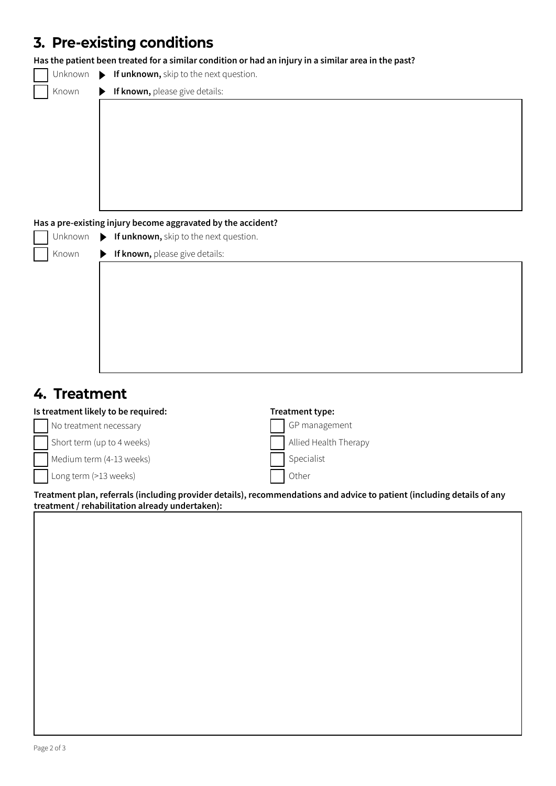## **3. Pre-existing conditions**

**Has the patient been treated for a similar condition or had an injury in a similar area in the past?**

| $\Box$ Unknown $\triangleright$ If unknown, skip to the next question. |  |
|------------------------------------------------------------------------|--|
|------------------------------------------------------------------------|--|

Known

▶ If known, please give details:

#### **Has a pre-existing injury become aggravated by the accident?**

| Unknown |                       | If unknown, skip to the next question. |
|---------|-----------------------|----------------------------------------|
| Known   | $\blacktriangleright$ | If known, please give details:         |
|         |                       |                                        |
|         |                       |                                        |
|         |                       |                                        |
|         |                       |                                        |
|         |                       |                                        |
|         |                       |                                        |
|         |                       |                                        |

## **4. Treatment**

| Is treatment likely to be required: | Treatment type:       |  |
|-------------------------------------|-----------------------|--|
| No treatment necessary              | GP management         |  |
| Short term (up to 4 weeks)          | Allied Health Therapy |  |
| Medium term (4-13 weeks)            | Specialist            |  |
| Long term (>13 weeks)               | Other                 |  |

**Treatment plan, referrals (including provider details), recommendations and advice to patient (including details of any treatment / rehabilitation already undertaken):**